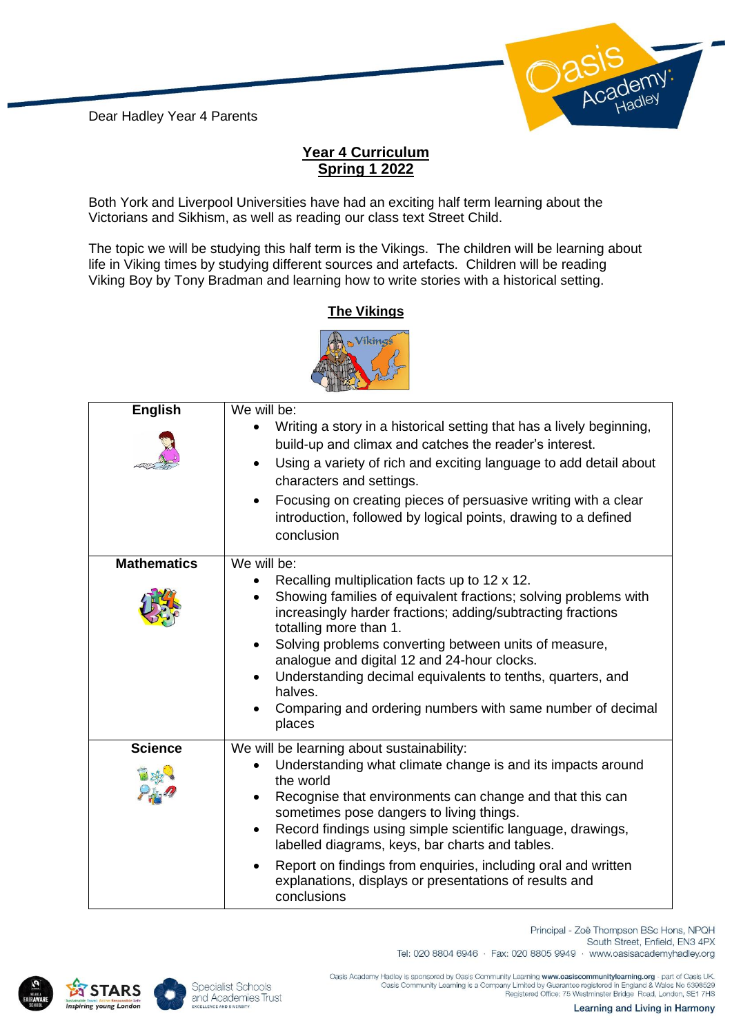Dear Hadley Year 4 Parents



## **Year 4 Curriculum Spring 1 2022**

Both York and Liverpool Universities have had an exciting half term learning about the Victorians and Sikhism, as well as reading our class text Street Child.

The topic we will be studying this half term is the Vikings. The children will be learning about life in Viking times by studying different sources and artefacts. Children will be reading Viking Boy by Tony Bradman and learning how to write stories with a historical setting.

## **The Vikings**



| <b>English</b>     | We will be:<br>Writing a story in a historical setting that has a lively beginning,<br>build-up and climax and catches the reader's interest.<br>Using a variety of rich and exciting language to add detail about<br>characters and settings.<br>Focusing on creating pieces of persuasive writing with a clear<br>introduction, followed by logical points, drawing to a defined<br>conclusion                  |
|--------------------|-------------------------------------------------------------------------------------------------------------------------------------------------------------------------------------------------------------------------------------------------------------------------------------------------------------------------------------------------------------------------------------------------------------------|
| <b>Mathematics</b> | We will be:<br>Recalling multiplication facts up to 12 x 12.                                                                                                                                                                                                                                                                                                                                                      |
|                    | Showing families of equivalent fractions; solving problems with<br>increasingly harder fractions; adding/subtracting fractions<br>totalling more than 1.<br>Solving problems converting between units of measure,<br>analogue and digital 12 and 24-hour clocks.<br>Understanding decimal equivalents to tenths, quarters, and<br>halves.<br>Comparing and ordering numbers with same number of decimal<br>places |
| <b>Science</b>     | We will be learning about sustainability:                                                                                                                                                                                                                                                                                                                                                                         |
|                    | Understanding what climate change is and its impacts around<br>the world<br>Recognise that environments can change and that this can<br>sometimes pose dangers to living things.<br>Record findings using simple scientific language, drawings,<br>$\bullet$<br>labelled diagrams, keys, bar charts and tables.                                                                                                   |
|                    | Report on findings from enquiries, including oral and written<br>explanations, displays or presentations of results and<br>conclusions                                                                                                                                                                                                                                                                            |





South Street, Enfield, EN3 4PX Tel: 020 8804 6946 · Fax: 020 8805 9949 · www.oasisacademyhadley.org

Principal - Zoë Thompson BSc Hons, NPQH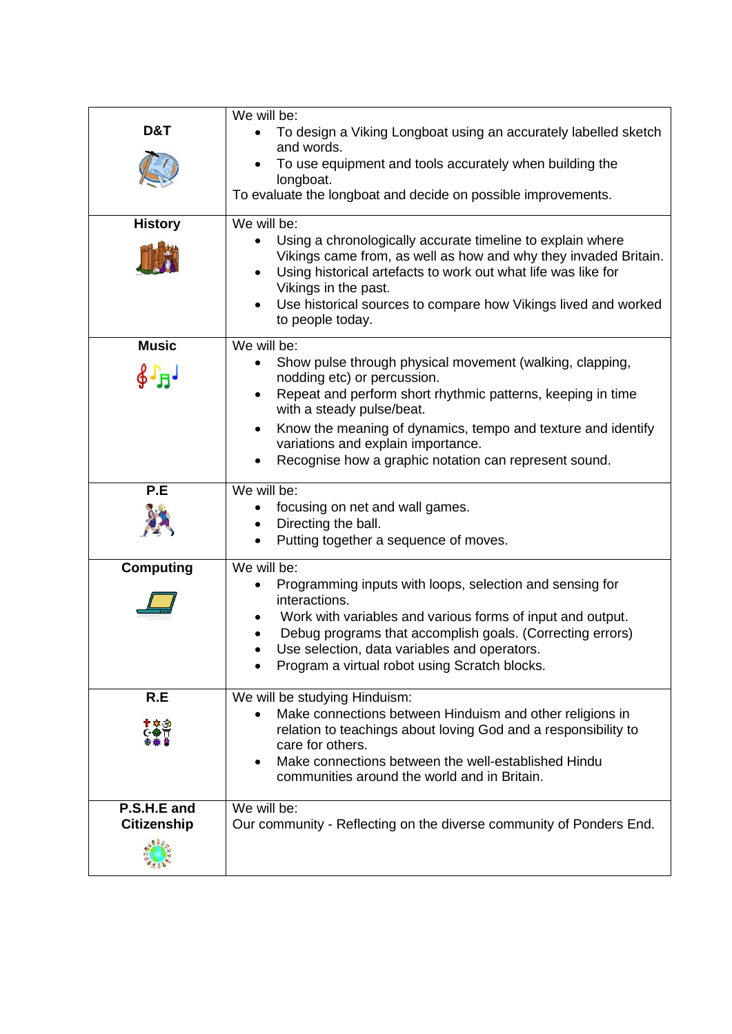|                    | We will be:                                                                                                                                             |
|--------------------|---------------------------------------------------------------------------------------------------------------------------------------------------------|
| D&T                | To design a Viking Longboat using an accurately labelled sketch<br>and words.                                                                           |
|                    | To use equipment and tools accurately when building the<br>longboat.                                                                                    |
|                    | To evaluate the longboat and decide on possible improvements.                                                                                           |
| <b>History</b>     | We will be:<br>Using a chronologically accurate timeline to explain where<br>Vikings came from, as well as how and why they invaded Britain.            |
|                    | Using historical artefacts to work out what life was like for<br>Vikings in the past.<br>Use historical sources to compare how Vikings lived and worked |
|                    | to people today.                                                                                                                                        |
| <b>Music</b>       | We will be:<br>Show pulse through physical movement (walking, clapping,                                                                                 |
| $\oint \Gamma_H$   | nodding etc) or percussion.<br>Repeat and perform short rhythmic patterns, keeping in time<br>$\bullet$<br>with a steady pulse/beat.                    |
|                    | Know the meaning of dynamics, tempo and texture and identify<br>$\bullet$<br>variations and explain importance.                                         |
|                    | Recognise how a graphic notation can represent sound.                                                                                                   |
| P.E                | We will be:                                                                                                                                             |
|                    | focusing on net and wall games.<br>Directing the ball.                                                                                                  |
|                    | Putting together a sequence of moves.                                                                                                                   |
| <b>Computing</b>   | We will be:                                                                                                                                             |
|                    | Programming inputs with loops, selection and sensing for<br>interactions.                                                                               |
|                    | Work with variables and various forms of input and output.<br>Debug programs that accomplish goals. (Correcting errors)                                 |
|                    | Use selection, data variables and operators.                                                                                                            |
|                    | Program a virtual robot using Scratch blocks.                                                                                                           |
| R.E                | We will be studying Hinduism:                                                                                                                           |
| T & 30             | Make connections between Hinduism and other religions in<br>relation to teachings about loving God and a responsibility to                              |
|                    | care for others.<br>Make connections between the well-established Hindu<br>communities around the world and in Britain.                                 |
| P.S.H.E and        | We will be:                                                                                                                                             |
| <b>Citizenship</b> | Our community - Reflecting on the diverse community of Ponders End.                                                                                     |